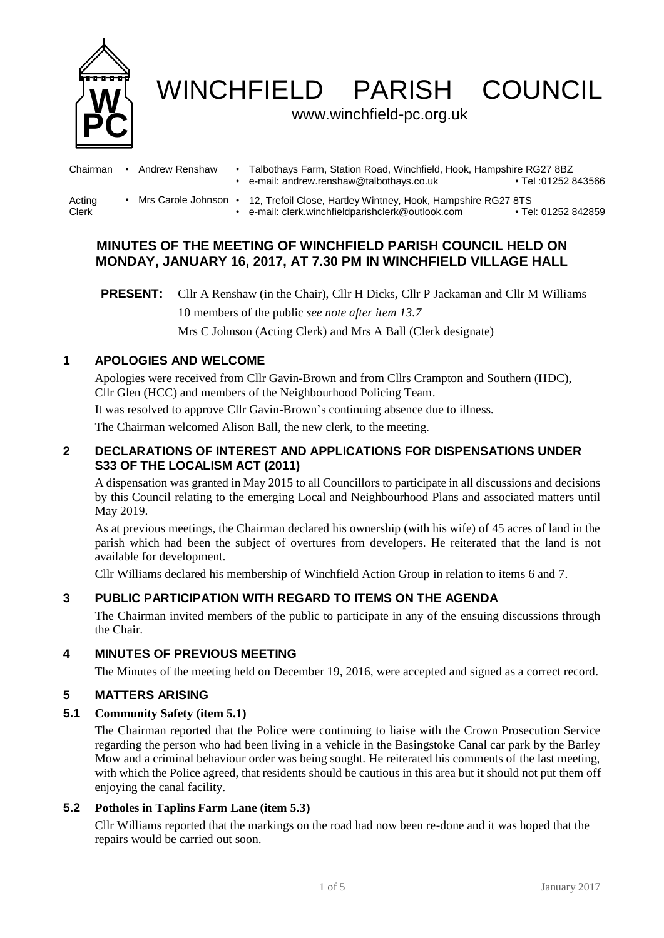

WINCHFIELD PARISH COUNCIL

## www.winchfield-pc.org.uk

| Chairman        | Andrew Renshaw       | Talbothays Farm, Station Road, Winchfield, Hook, Hampshire RG27 8BZ<br>e-mail: andrew.renshaw@talbothays.co.uk  | • Tel :01252 843566 |
|-----------------|----------------------|-----------------------------------------------------------------------------------------------------------------|---------------------|
| Acting<br>Clerk | Mrs Carole Johnson • | 12, Trefoil Close, Hartley Wintney, Hook, Hampshire RG27 8TS<br>e-mail: clerk.winchfieldparishclerk@outlook.com | • Tel: 01252 842859 |

# **MINUTES OF THE MEETING OF WINCHFIELD PARISH COUNCIL HELD ON MONDAY, JANUARY 16, 2017, AT 7.30 PM IN WINCHFIELD VILLAGE HALL**

**PRESENT:** Cllr A Renshaw (in the Chair), Cllr H Dicks, Cllr P Jackaman and Cllr M Williams 10 members of the public *see note after item 13.7* Mrs C Johnson (Acting Clerk) and Mrs A Ball (Clerk designate)

## **1 APOLOGIES AND WELCOME**

Apologies were received from Cllr Gavin-Brown and from Cllrs Crampton and Southern (HDC), Cllr Glen (HCC) and members of the Neighbourhood Policing Team.

It was resolved to approve Cllr Gavin-Brown's continuing absence due to illness.

The Chairman welcomed Alison Ball, the new clerk, to the meeting.

## **2 DECLARATIONS OF INTEREST AND APPLICATIONS FOR DISPENSATIONS UNDER S33 OF THE LOCALISM ACT (2011)**

A dispensation was granted in May 2015 to all Councillors to participate in all discussions and decisions by this Council relating to the emerging Local and Neighbourhood Plans and associated matters until May 2019.

As at previous meetings, the Chairman declared his ownership (with his wife) of 45 acres of land in the parish which had been the subject of overtures from developers. He reiterated that the land is not available for development.

Cllr Williams declared his membership of Winchfield Action Group in relation to items 6 and 7.

# **3 PUBLIC PARTICIPATION WITH REGARD TO ITEMS ON THE AGENDA**

The Chairman invited members of the public to participate in any of the ensuing discussions through the Chair.

## **4 MINUTES OF PREVIOUS MEETING**

The Minutes of the meeting held on December 19, 2016, were accepted and signed as a correct record.

## **5 MATTERS ARISING**

### **5.1 Community Safety (item 5.1)**

The Chairman reported that the Police were continuing to liaise with the Crown Prosecution Service regarding the person who had been living in a vehicle in the Basingstoke Canal car park by the Barley Mow and a criminal behaviour order was being sought. He reiterated his comments of the last meeting, with which the Police agreed, that residents should be cautious in this area but it should not put them off enjoying the canal facility.

## **5.2 Potholes in Taplins Farm Lane (item 5.3)**

Cllr Williams reported that the markings on the road had now been re-done and it was hoped that the repairs would be carried out soon.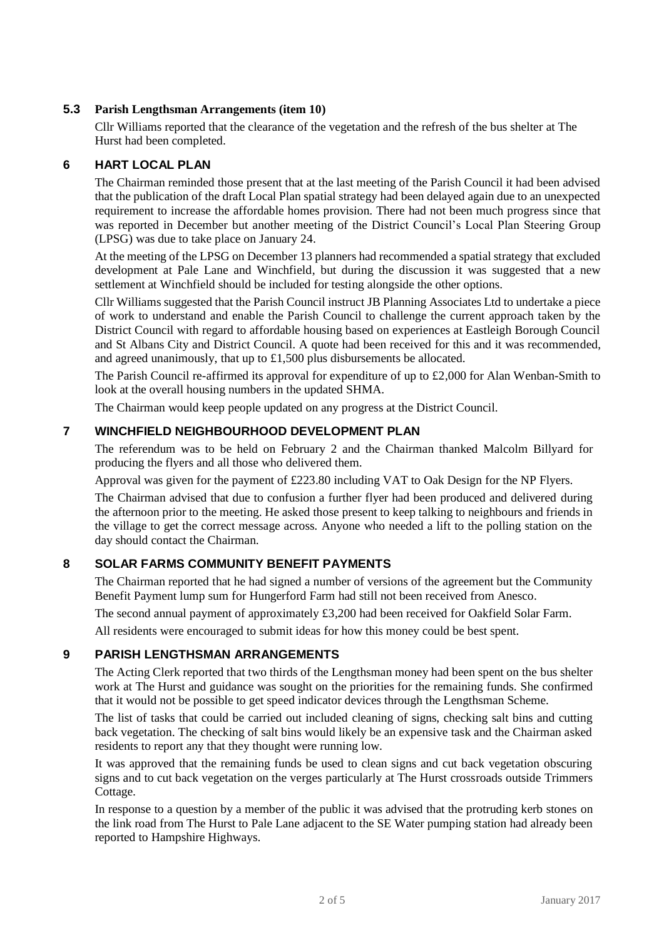## **5.3 Parish Lengthsman Arrangements (item 10)**

Cllr Williams reported that the clearance of the vegetation and the refresh of the bus shelter at The Hurst had been completed.

## **6 HART LOCAL PLAN**

The Chairman reminded those present that at the last meeting of the Parish Council it had been advised that the publication of the draft Local Plan spatial strategy had been delayed again due to an unexpected requirement to increase the affordable homes provision. There had not been much progress since that was reported in December but another meeting of the District Council's Local Plan Steering Group (LPSG) was due to take place on January 24.

At the meeting of the LPSG on December 13 planners had recommended a spatial strategy that excluded development at Pale Lane and Winchfield, but during the discussion it was suggested that a new settlement at Winchfield should be included for testing alongside the other options.

Cllr Williams suggested that the Parish Council instruct JB Planning Associates Ltd to undertake a piece of work to understand and enable the Parish Council to challenge the current approach taken by the District Council with regard to affordable housing based on experiences at Eastleigh Borough Council and St Albans City and District Council. A quote had been received for this and it was recommended, and agreed unanimously, that up to £1,500 plus disbursements be allocated.

The Parish Council re-affirmed its approval for expenditure of up to £2,000 for Alan Wenban-Smith to look at the overall housing numbers in the updated SHMA.

The Chairman would keep people updated on any progress at the District Council.

## **7 WINCHFIELD NEIGHBOURHOOD DEVELOPMENT PLAN**

The referendum was to be held on February 2 and the Chairman thanked Malcolm Billyard for producing the flyers and all those who delivered them.

Approval was given for the payment of £223.80 including VAT to Oak Design for the NP Flyers.

The Chairman advised that due to confusion a further flyer had been produced and delivered during the afternoon prior to the meeting. He asked those present to keep talking to neighbours and friends in the village to get the correct message across. Anyone who needed a lift to the polling station on the day should contact the Chairman.

## **8 SOLAR FARMS COMMUNITY BENEFIT PAYMENTS**

The Chairman reported that he had signed a number of versions of the agreement but the Community Benefit Payment lump sum for Hungerford Farm had still not been received from Anesco.

The second annual payment of approximately £3,200 had been received for Oakfield Solar Farm.

All residents were encouraged to submit ideas for how this money could be best spent.

## **9 PARISH LENGTHSMAN ARRANGEMENTS**

The Acting Clerk reported that two thirds of the Lengthsman money had been spent on the bus shelter work at The Hurst and guidance was sought on the priorities for the remaining funds. She confirmed that it would not be possible to get speed indicator devices through the Lengthsman Scheme.

The list of tasks that could be carried out included cleaning of signs, checking salt bins and cutting back vegetation. The checking of salt bins would likely be an expensive task and the Chairman asked residents to report any that they thought were running low.

It was approved that the remaining funds be used to clean signs and cut back vegetation obscuring signs and to cut back vegetation on the verges particularly at The Hurst crossroads outside Trimmers Cottage.

In response to a question by a member of the public it was advised that the protruding kerb stones on the link road from The Hurst to Pale Lane adjacent to the SE Water pumping station had already been reported to Hampshire Highways.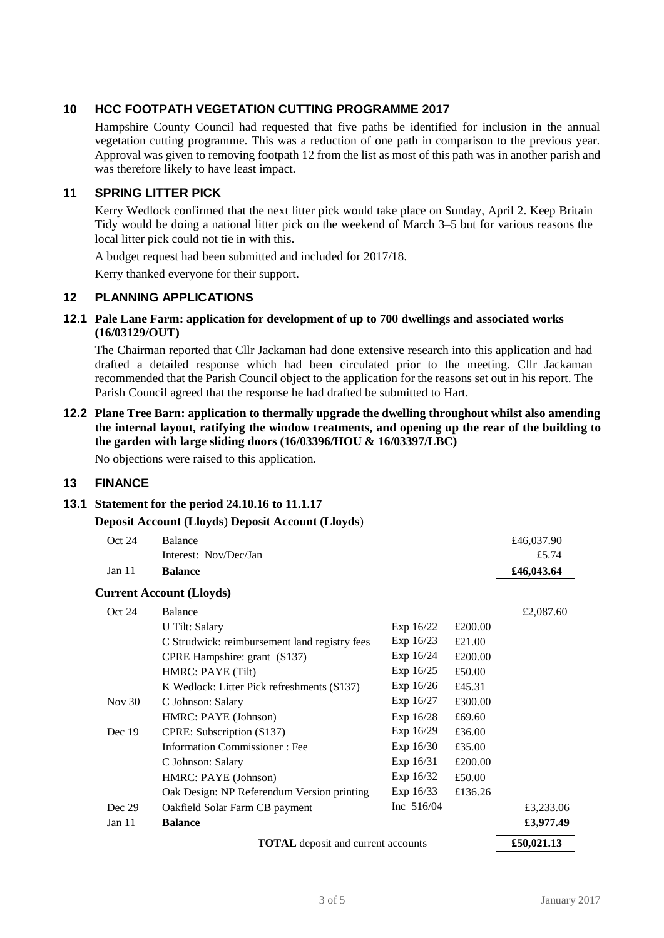## **10 HCC FOOTPATH VEGETATION CUTTING PROGRAMME 2017**

Hampshire County Council had requested that five paths be identified for inclusion in the annual vegetation cutting programme. This was a reduction of one path in comparison to the previous year. Approval was given to removing footpath 12 from the list as most of this path was in another parish and was therefore likely to have least impact.

## **11 SPRING LITTER PICK**

Kerry Wedlock confirmed that the next litter pick would take place on Sunday, April 2. Keep Britain Tidy would be doing a national litter pick on the weekend of March 3–5 but for various reasons the local litter pick could not tie in with this.

A budget request had been submitted and included for 2017/18.

Kerry thanked everyone for their support.

#### **12 PLANNING APPLICATIONS**

**12.1 Pale Lane Farm: application for development of up to 700 dwellings and associated works (16/03129/OUT)**

The Chairman reported that Cllr Jackaman had done extensive research into this application and had drafted a detailed response which had been circulated prior to the meeting. Cllr Jackaman recommended that the Parish Council object to the application for the reasons set out in his report. The Parish Council agreed that the response he had drafted be submitted to Hart.

**12.2 Plane Tree Barn: application to thermally upgrade the dwelling throughout whilst also amending the internal layout, ratifying the window treatments, and opening up the rear of the building to the garden with large sliding doors (16/03396/HOU & 16/03397/LBC)**

No objections were raised to this application.

## **13 FINANCE**

#### **13.1 Statement for the period 24.10.16 to 11.1.17**

#### **Deposit Account (Lloyds**) **Deposit Account (Lloyds**)

| Oct 24                                    | <b>Balance</b>                                |              |         | £46,037.90 |
|-------------------------------------------|-----------------------------------------------|--------------|---------|------------|
|                                           | Interest: Nov/Dec/Jan                         |              |         | £5.74      |
| Jan 11                                    | <b>Balance</b>                                |              |         | £46,043.64 |
|                                           | <b>Current Account (Lloyds)</b>               |              |         |            |
| Oct 24                                    | Balance                                       |              |         | £2,087.60  |
|                                           | U Tilt: Salary                                | Exp $16/22$  | £200.00 |            |
|                                           | C Strudwick: reimbursement land registry fees | Exp 16/23    | £21.00  |            |
|                                           | CPRE Hampshire: grant (S137)                  | Exp 16/24    | £200.00 |            |
|                                           | HMRC: PAYE (Tilt)                             | Exp 16/25    | £50.00  |            |
|                                           | K Wedlock: Litter Pick refreshments (S137)    | Exp 16/26    | £45.31  |            |
| Nov $30$                                  | C Johnson: Salary                             | Exp 16/27    | £300.00 |            |
|                                           | HMRC: PAYE (Johnson)                          | Exp 16/28    | £69.60  |            |
| Dec 19                                    | CPRE: Subscription (S137)                     | Exp 16/29    | £36.00  |            |
|                                           | <b>Information Commissioner: Fee</b>          | Exp 16/30    | £35.00  |            |
|                                           | C Johnson: Salary                             | Exp 16/31    | £200.00 |            |
|                                           | HMRC: PAYE (Johnson)                          | Exp 16/32    | £50.00  |            |
|                                           | Oak Design: NP Referendum Version printing    | Exp 16/33    | £136.26 |            |
| Dec 29                                    | Oakfield Solar Farm CB payment                | Inc $516/04$ |         | £3,233.06  |
| Jan 11                                    | <b>Balance</b>                                |              |         | £3,977.49  |
| <b>TOTAL</b> deposit and current accounts |                                               |              |         | £50,021.13 |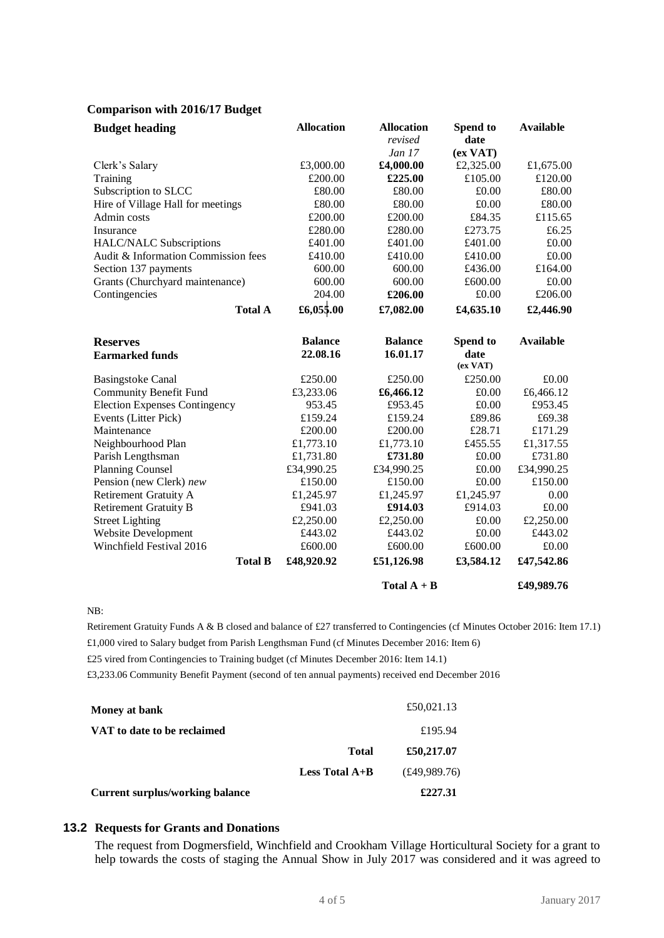#### **Comparison with 2016/17 Budget**

| <b>Budget heading</b>                | <b>Allocation</b> | <b>Allocation</b> | Spend to         | <b>Available</b> |
|--------------------------------------|-------------------|-------------------|------------------|------------------|
|                                      |                   | revised           | date             |                  |
|                                      |                   | Jan 17            | (ex <b>VAT</b> ) |                  |
| Clerk's Salary                       | £3,000.00         | £4,000.00         | £2,325.00        | £1,675.00        |
| Training                             | £200.00           | £225.00           | £105.00          | £120.00          |
| Subscription to SLCC                 | £80.00            | £80.00            | £0.00            | £80.00           |
| Hire of Village Hall for meetings    | £80.00            | £80.00            | £0.00            | £80.00           |
| Admin costs                          | £200.00           | £200.00           | £84.35           | £115.65          |
| Insurance                            | £280.00           | £280.00           | £273.75          | £6.25            |
| <b>HALC/NALC Subscriptions</b>       | £401.00           | £401.00           | £401.00          | £0.00            |
| Audit & Information Commission fees  | £410.00           | £410.00           | £410.00          | £0.00            |
| Section 137 payments                 | 600.00            | 600.00            | £436.00          | £164.00          |
| Grants (Churchyard maintenance)      | 600.00            | 600.00            | £600.00          | £0.00            |
| Contingencies                        | 204.00            | £206.00           | £0.00            | £206.00          |
| <b>Total A</b>                       | £6,055.00         | £7,082.00         | £4,635.10        | £2,446.90        |
| <b>Reserves</b>                      | <b>Balance</b>    | <b>Balance</b>    | Spend to         | <b>Available</b> |
| <b>Earmarked funds</b>               | 22.08.16          | 16.01.17          | date<br>(ex VAT) |                  |
| <b>Basingstoke Canal</b>             | £250.00           | £250.00           | £250.00          | £0.00            |
| Community Benefit Fund               | £3,233.06         | £6,466.12         | £0.00            | £6,466.12        |
| <b>Election Expenses Contingency</b> | 953.45            | £953.45           | £0.00            | £953.45          |
| Events (Litter Pick)                 | £159.24           | £159.24           | £89.86           | £69.38           |
| Maintenance                          | £200.00           | £200.00           | £28.71           | £171.29          |
| Neighbourhood Plan                   | £1,773.10         | £1,773.10         | £455.55          | £1,317.55        |
| Parish Lengthsman                    | £1,731.80         | £731.80           | £0.00            | £731.80          |
| <b>Planning Counsel</b>              | £34,990.25        | £34,990.25        | £0.00            | £34,990.25       |
| Pension (new Clerk) new              | £150.00           | £150.00           | £0.00            | £150.00          |
| Retirement Gratuity A                | £1,245.97         | £1,245.97         | £1,245.97        | 0.00             |
| <b>Retirement Gratuity B</b>         | £941.03           | £914.03           | £914.03          | £0.00            |
| <b>Street Lighting</b>               | £2,250.00         | £2,250.00         | £0.00            | £2,250.00        |
| <b>Website Development</b>           | £443.02           | £443.02           | £0.00            | £443.02          |
| Winchfield Festival 2016             | £600.00           | £600.00           | £600.00          | £0.00            |
| <b>Total B</b>                       | £48,920.92        | £51,126.98        | £3,584.12        | £47,542.86       |
|                                      |                   | Total $A + B$     |                  | £49,989.76       |

NB:

Retirement Gratuity Funds A & B closed and balance of £27 transferred to Contingencies (cf Minutes October 2016: Item 17.1) £1,000 vired to Salary budget from Parish Lengthsman Fund (cf Minutes December 2016: Item 6)

£25 vired from Contingencies to Training budget (cf Minutes December 2016: Item 14.1)

£3,233.06 Community Benefit Payment (second of ten annual payments) received end December 2016

| <b>Current surplus/working balance</b> |                                    | £227.31      |
|----------------------------------------|------------------------------------|--------------|
|                                        | <b>Less Total <math>A+B</math></b> | (E49,989.76) |
|                                        | <b>Total</b>                       | £50,217.07   |
| VAT to date to be reclaimed            |                                    | £195.94      |
| Money at bank                          |                                    | £50,021.13   |
|                                        |                                    |              |

#### **13.2 Requests for Grants and Donations**

The request from Dogmersfield, Winchfield and Crookham Village Horticultural Society for a grant to help towards the costs of staging the Annual Show in July 2017 was considered and it was agreed to